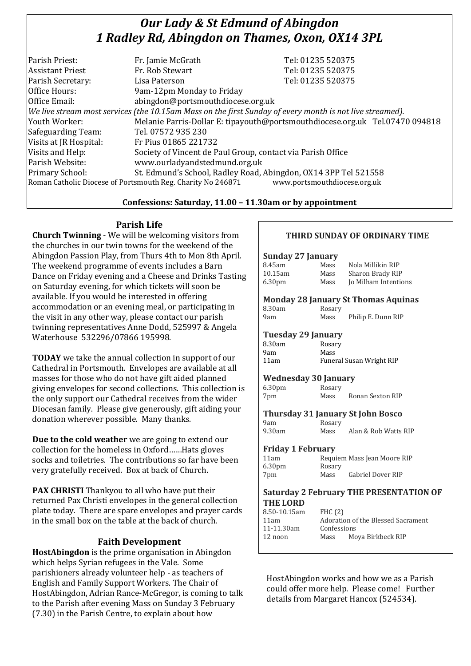# *Our Lady & St Edmund of Abingdon 1 Radley Rd, Abingdon on Thames, Oxon, OX14 3PL*

| Fr. Jamie McGrath                                                                                        | Tel: 01235 520375                                                            |  |
|----------------------------------------------------------------------------------------------------------|------------------------------------------------------------------------------|--|
| Fr. Rob Stewart                                                                                          | Tel: 01235 520375                                                            |  |
| Lisa Paterson                                                                                            | Tel: 01235 520375                                                            |  |
| 9am-12pm Monday to Friday                                                                                |                                                                              |  |
| abingdon@portsmouthdiocese.org.uk                                                                        |                                                                              |  |
| We live stream most services (the 10.15am Mass on the first Sunday of every month is not live streamed). |                                                                              |  |
|                                                                                                          | Melanie Parris-Dollar E: tipayouth@portsmouthdiocese.org.uk Tel.07470 094818 |  |
| Tel. 07572 935 230                                                                                       |                                                                              |  |
| Fr Pius 01865 221732                                                                                     |                                                                              |  |
| Society of Vincent de Paul Group, contact via Parish Office                                              |                                                                              |  |
| www.ourladyandstedmund.org.uk                                                                            |                                                                              |  |
| St. Edmund's School, Radley Road, Abingdon, OX14 3PP Tel 521558                                          |                                                                              |  |
| Roman Catholic Diocese of Portsmouth Reg. Charity No 246871                                              | www.portsmouthdiocese.org.uk                                                 |  |
|                                                                                                          |                                                                              |  |

## **Confessions: Saturday, 11.00 – 11.30am or by appointment**

## **Parish Life**

**Church Twinning** - We will be welcoming visitors from the churches in our twin towns for the weekend of the Abingdon Passion Play, from Thurs 4th to Mon 8th April. The weekend programme of events includes a Barn Dance on Friday evening and a Cheese and Drinks Tasting on Saturday evening, for which tickets will soon be available. If you would be interested in offering accommodation or an evening meal, or participating in the visit in any other way, please contact our parish twinning representatives Anne Dodd, 525997 & Angela Waterhouse 532296/07866 195998.

**TODAY** we take the annual collection in support of our Cathedral in Portsmouth. Envelopes are available at all masses for those who do not have gift aided planned giving envelopes for second collections. This collection is the only support our Cathedral receives from the wider Diocesan family. Please give generously, gift aiding your donation wherever possible. Many thanks.

**Due to the cold weather** we are going to extend our collection for the homeless in Oxford……Hats gloves socks and toiletries. The contributions so far have been very gratefully received. Box at back of Church.

**PAX CHRISTI** Thankyou to all who have put their returned Pax Christi envelopes in the general collection plate today. There are spare envelopes and prayer cards in the small box on the table at the back of church.

## **Faith Development**

**HostAbingdon** is the prime organisation in Abingdon which helps Syrian refugees in the Vale. Some parishioners already volunteer help - as teachers of English and Family Support Workers. The Chair of HostAbingdon, Adrian Rance-McGregor, is coming to talk to the Parish after evening Mass on Sunday 3 February (7.30) in the Parish Centre, to explain about how

## **THIRD SUNDAY OF ORDINARY TIME**

#### **Sunday 27 January**

| 8.45am             | Mass | Nola Millikin RIP    |
|--------------------|------|----------------------|
| 10.15am            | Mass | Sharon Brady RIP     |
| 6.30 <sub>pm</sub> | Mass | Jo Milham Intentions |

#### **Monday 28 January St Thomas Aquinas**

| 8.30am |  | Rosary |
|--------|--|--------|
| 9am    |  | Mass   |

Philip E. Dunn RIP

Mass Alan & Rob Watts RIP

#### **Tuesday 29 January**

| 8.30am | Rosary                          |
|--------|---------------------------------|
| 9am    | Mass                            |
| 11am   | <b>Funeral Susan Wright RIP</b> |

#### **Wednesday 30 January**

6.30pm Rosary 7pm Mass Ronan Sexton RIP

**Thursday 31 January St John Bosco**

9am Rosary<br>9.30am Mass

#### **Friday 1 February**

| 11am               |        | Requiem Mass Jean Moore RIP |
|--------------------|--------|-----------------------------|
| 6.30 <sub>pm</sub> | Rosary |                             |
| 7pm                | Mass   | Gabriel Dover RIP           |

#### **Saturday 2 February THE PRESENTATION OF THE LORD**

| 8.50-10.15am | FHC $(2)$   |                                    |
|--------------|-------------|------------------------------------|
| 11am         |             | Adoration of the Blessed Sacrament |
| 11-11.30am   | Confessions |                                    |
| 12 noon      | Mass        | Moya Birkbeck RIP                  |
|              |             |                                    |

HostAbingdon works and how we as a Parish could offer more help. Please come! Further details from Margaret Hancox (524534).